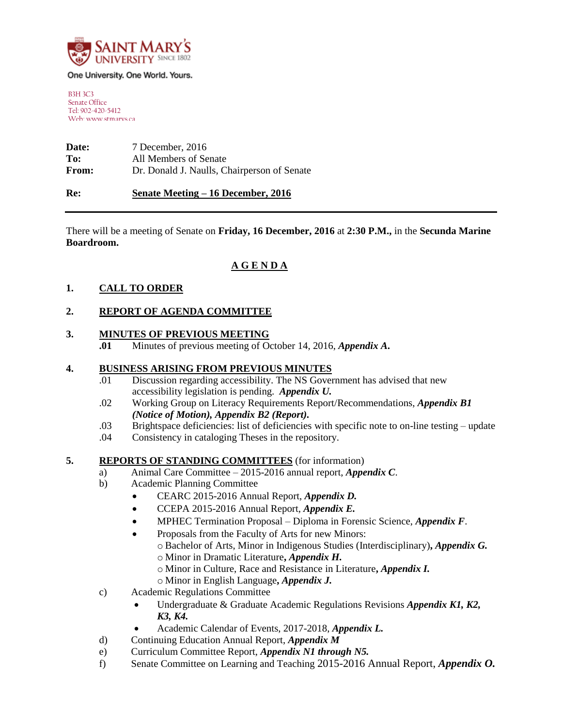

#### One University. One World. Yours.

B3H 3C3 Senate Office Tel: 902-420-5412 Web: www.stmarys.ca

**Date:** 7 December, 2016 **To:** All Members of Senate **From:** Dr. Donald J. Naulls, Chairperson of Senate

### **Re: Senate Meeting – 16 December, 2016**

There will be a meeting of Senate on **Friday, 16 December, 2016** at **2:30 P.M.,** in the **Secunda Marine Boardroom.**

# **A G E N D A**

### **1. CALL TO ORDER**

### **2. REPORT OF AGENDA COMMITTEE**

### **3. MINUTES OF PREVIOUS MEETING**

**.01** Minutes of previous meeting of October 14, 2016, *Appendix A***.**

### **4. BUSINESS ARISING FROM PREVIOUS MINUTES**

- .01 Discussion regarding accessibility. The NS Government has advised that new accessibility legislation is pending. *Appendix U.*
- .02 Working Group on Literacy Requirements Report/Recommendations, *Appendix B1 (Notice of Motion), Appendix B2 (Report).*
- .03 Brightspace deficiencies: list of deficiencies with specific note to on-line testing update
- .04 Consistency in cataloging Theses in the repository.

#### **5. REPORTS OF STANDING COMMITTEES** (for information)

- a) Animal Care Committee 2015-2016 annual report, *Appendix C*.
- b) Academic Planning Committee
	- CEARC 2015-2016 Annual Report, *Appendix D.*
	- CCEPA 2015-2016 Annual Report, *Appendix E.*
	- MPHEC Termination Proposal Diploma in Forensic Science, *Appendix F*.
	- Proposals from the Faculty of Arts for new Minors:
		- o Bachelor of Arts, Minor in Indigenous Studies (Interdisciplinary)**,** *Appendix G.*
		- o Minor in Dramatic Literature**,** *Appendix H.*
		- o Minor in Culture, Race and Resistance in Literature**,** *Appendix I.*
		- o Minor in English Language**,** *Appendix J.*
- c) Academic Regulations Committee
	- Undergraduate & Graduate Academic Regulations Revisions *Appendix K1, K2, K3, K4.*
	- Academic Calendar of Events, 2017-2018, *Appendix L.*
- d) Continuing Education Annual Report, *Appendix M*
- e) Curriculum Committee Report, *Appendix N1 through N5.*
- f) Senate Committee on Learning and Teaching 2015-2016 Annual Report, *Appendix O.*